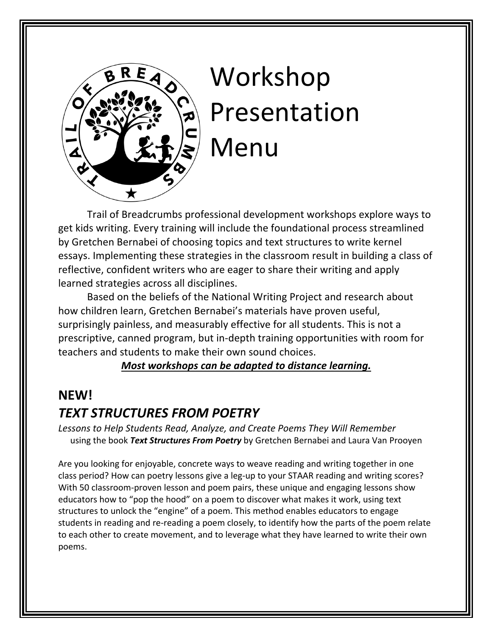

# Workshop Presentation Menu

Trail of Breadcrumbs professional development workshops explore ways to get kids writing. Every training will include the foundational process streamlined by Gretchen Bernabei of choosing topics and text structures to write kernel essays. Implementing these strategies in the classroom result in building a class of reflective, confident writers who are eager to share their writing and apply learned strategies across all disciplines.

Based on the beliefs of the National Writing Project and research about how children learn, Gretchen Bernabei's materials have proven useful, surprisingly painless, and measurably effective for all students. This is not a prescriptive, canned program, but in-depth training opportunities with room for teachers and students to make their own sound choices.

*Most workshops can be adapted to distance learning.*

### **NEW!**

# *TEXT STRUCTURES FROM POETRY*

*Lessons to Help Students Read, Analyze, and Create Poems They Will Remember* using the book *Text Structures From Poetry* by Gretchen Bernabei and Laura Van Prooyen

Are you looking for enjoyable, concrete ways to weave reading and writing together in one class period? How can poetry lessons give a leg-up to your STAAR reading and writing scores? With 50 classroom-proven lesson and poem pairs, these unique and engaging lessons show educators how to "pop the hood" on a poem to discover what makes it work, using text structures to unlock the "engine" of a poem. This method enables educators to engage students in reading and re-reading a poem closely, to identify how the parts of the poem relate to each other to create movement, and to leverage what they have learned to write their own poems.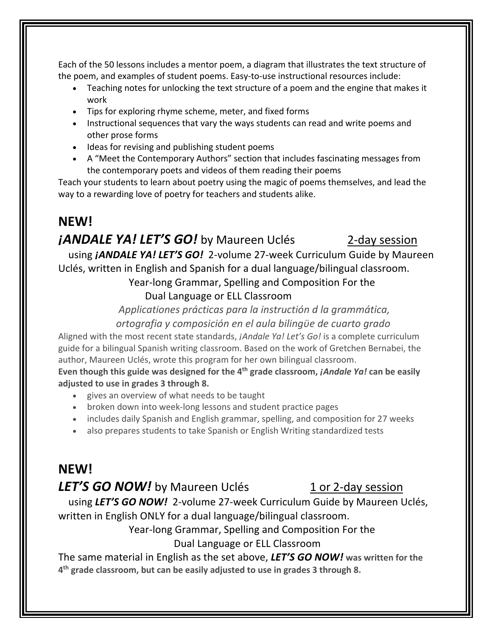Each of the 50 lessons includes a mentor poem, a diagram that illustrates the text structure of the poem, and examples of student poems. Easy-to-use instructional resources include:

- Teaching notes for unlocking the text structure of a poem and the engine that makes it work
- Tips for exploring rhyme scheme, meter, and fixed forms
- Instructional sequences that vary the ways students can read and write poems and other prose forms
- Ideas for revising and publishing student poems
- A "Meet the Contemporary Authors" section that includes fascinating messages from the contemporary poets and videos of them reading their poems

Teach your students to learn about poetry using the magic of poems themselves, and lead the way to a rewarding love of poetry for teachers and students alike.

#### **NEW!**

#### *<i>iANDALE YA! LET'S GO!* by Maureen Uclés 2-day session

 using *¡ANDALE YA! LET'S GO!* 2-volume 27-week Curriculum Guide by Maureen Uclés, written in English and Spanish for a dual language/bilingual classroom.

 Year-long Grammar, Spelling and Composition For the Dual Language or ELL Classroom

*Applicationes prácticas para la instructión d la grammática,* 

*ortografia y composición en el aula bilingϋe de cuarto grado*

Aligned with the most recent state standards, *¡Andale Ya! Let's Go!* is a complete curriculum guide for a bilingual Spanish writing classroom. Based on the work of Gretchen Bernabei, the author, Maureen Uclés, wrote this program for her own bilingual classroom.

**Even though this guide was designed for the 4th grade classroom,** *¡Andale Ya!* **can be easily adjusted to use in grades 3 through 8.**

- gives an overview of what needs to be taught
- broken down into week-long lessons and student practice pages
- includes daily Spanish and English grammar, spelling, and composition for 27 weeks
- also prepares students to take Spanish or English Writing standardized tests

# **NEW!**

#### **LET'S GO NOW!** by Maureen Uclés 1 or 2-day session

 using *LET'S GO NOW!* 2-volume 27-week Curriculum Guide by Maureen Uclés, written in English ONLY for a dual language/bilingual classroom.

Year-long Grammar, Spelling and Composition For the

#### Dual Language or ELL Classroom

The same material in English as the set above, *LET'S GO NOW!* **was written for the 4th grade classroom, but can be easily adjusted to use in grades 3 through 8.**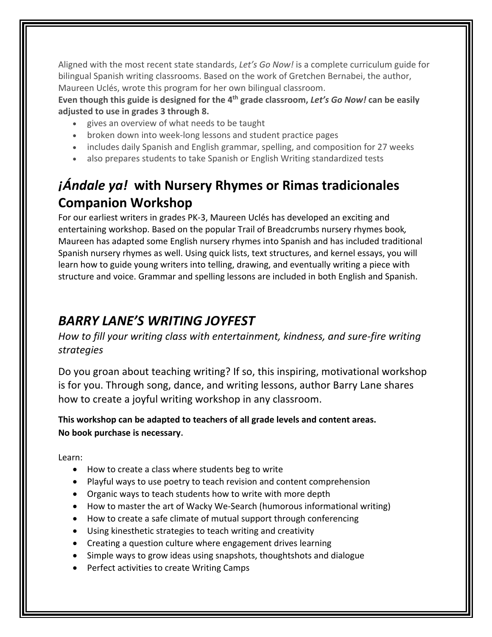Aligned with the most recent state standards, *Let's Go Now!* is a complete curriculum guide for bilingual Spanish writing classrooms. Based on the work of Gretchen Bernabei, the author, Maureen Uclés, wrote this program for her own bilingual classroom.

**Even though this guide is designed for the 4th grade classroom,** *Let's Go Now!* **can be easily adjusted to use in grades 3 through 8.**

- gives an overview of what needs to be taught
- broken down into week-long lessons and student practice pages
- includes daily Spanish and English grammar, spelling, and composition for 27 weeks
- also prepares students to take Spanish or English Writing standardized tests

# *¡Ándale ya!* **with Nursery Rhymes or Rimas tradicionales Companion Workshop**<br>For our earliest writers in grades PK-3, Maureen Uclés has developed an exciting and

entertaining workshop. Based on the popular Trail of Breadcrumbs nursery rhymes book*,*  Maureen has adapted some English nursery rhymes into Spanish and has included traditional Spanish nursery rhymes as well. Using quick lists, text structures, and kernel essays, you will learn how to guide young writers into telling, drawing, and eventually writing a piece with structure and voice. Grammar and spelling lessons are included in both English and Spanish.

# *BARRY LANE'S WRITING JOYFEST*

*How to fill your writing class with entertainment, kindness, and sure-fire writing strategies*

Do you groan about teaching writing? If so, this inspiring, motivational workshop is for you. Through song, dance, and writing lessons, author Barry Lane shares how to create a joyful writing workshop in any classroom.

**This workshop can be adapted to teachers of all grade levels and content areas. No book purchase is necessary**.

Learn:

- How to create a class where students beg to write
- Playful ways to use poetry to teach revision and content comprehension
- Organic ways to teach students how to write with more depth
- How to master the art of Wacky We-Search (humorous informational writing)
- How to create a safe climate of mutual support through conferencing
- Using kinesthetic strategies to teach writing and creativity
- Creating a question culture where engagement drives learning
- Simple ways to grow ideas using snapshots, thoughtshots and dialogue
- Perfect activities to create Writing Camps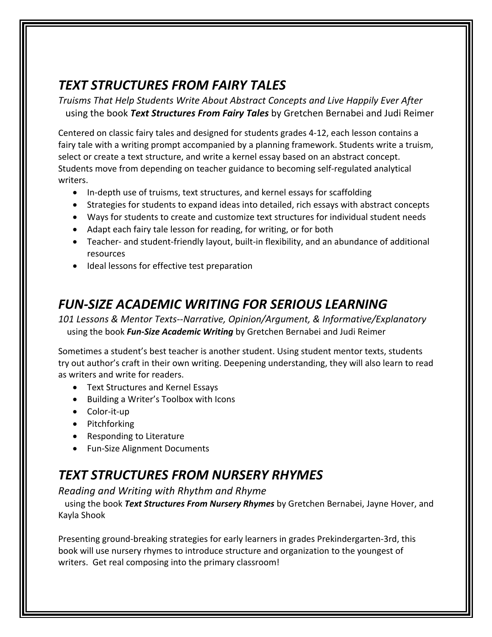# *TEXT STRUCTURES FROM FAIRY TALES*

*Truisms That Help Students Write About Abstract Concepts and Live Happily Ever After* using the book *Text Structures From Fairy Tales* by Gretchen Bernabei and Judi Reimer

Centered on classic fairy tales and designed for students grades 4-12, each lesson contains a fairy tale with a writing prompt accompanied by a planning framework. Students write a truism, select or create a text structure, and write a kernel essay based on an abstract concept. Students move from depending on teacher guidance to becoming self-regulated analytical writers.

- In-depth use of truisms, text structures, and kernel essays for scaffolding
- Strategies for students to expand ideas into detailed, rich essays with abstract concepts
- Ways for students to create and customize text structures for individual student needs
- Adapt each fairy tale lesson for reading, for writing, or for both
- Teacher- and student-friendly layout, built-in flexibility, and an abundance of additional resources
- Ideal lessons for effective test preparation

# *FUN-SIZE ACADEMIC WRITING FOR SERIOUS LEARNING*

*101 Lessons & Mentor Texts--Narrative, Opinion/Argument, & Informative/Explanatory* using the book *Fun-Size Academic Writing* by Gretchen Bernabei and Judi Reimer

Sometimes a student's best teacher is another student. Using student mentor texts, students try out author's craft in their own writing. Deepening understanding, they will also learn to read as writers and write for readers.

- Text Structures and Kernel Essays
- Building a Writer's Toolbox with Icons
- Color-it-up
- Pitchforking
- Responding to Literature
- Fun-Size Alignment Documents

# *TEXT STRUCTURES FROM NURSERY RHYMES*

*Reading and Writing with Rhythm and Rhyme* 

 using the book *Text Structures From Nursery Rhymes* by Gretchen Bernabei, Jayne Hover, and Kayla Shook

Presenting ground-breaking strategies for early learners in grades Prekindergarten-3rd, this book will use nursery rhymes to introduce structure and organization to the youngest of writers. Get real composing into the primary classroom!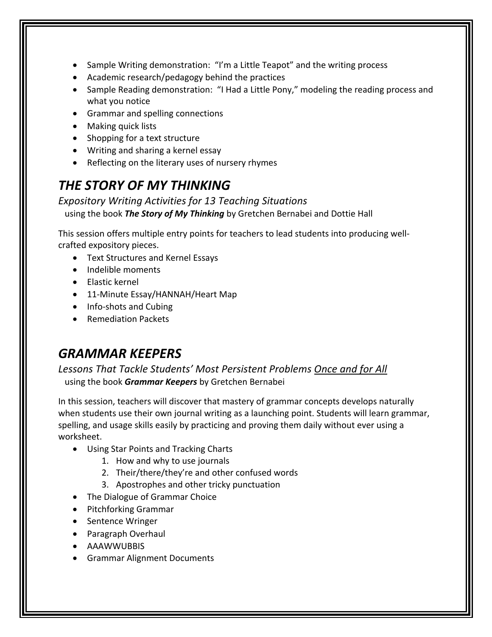- Sample Writing demonstration: "I'm a Little Teapot" and the writing process
- Academic research/pedagogy behind the practices
- Sample Reading demonstration: "I Had a Little Pony," modeling the reading process and what you notice
- Grammar and spelling connections
- Making quick lists
- Shopping for a text structure
- Writing and sharing a kernel essay
- Reflecting on the literary uses of nursery rhymes

### *THE STORY OF MY THINKING*

*Expository Writing Activities for 13 Teaching Situations* using the book *The Story of My Thinking* by Gretchen Bernabei and Dottie Hall

This session offers multiple entry points for teachers to lead students into producing wellcrafted expository pieces.

- Text Structures and Kernel Essays
- Indelible moments
- Elastic kernel
- 11-Minute Essay/HANNAH/Heart Map
- Info-shots and Cubing
- Remediation Packets

# *GRAMMAR KEEPERS*

*Lessons That Tackle Students' Most Persistent Problems Once and for All* using the book *Grammar Keepers* by Gretchen Bernabei

In this session, teachers will discover that mastery of grammar concepts develops naturally when students use their own journal writing as a launching point. Students will learn grammar, spelling, and usage skills easily by practicing and proving them daily without ever using a worksheet.

- Using Star Points and Tracking Charts
	- 1. How and why to use journals
	- 2. Their/there/they're and other confused words
	- 3. Apostrophes and other tricky punctuation
- The Dialogue of Grammar Choice
- Pitchforking Grammar
- Sentence Wringer
- Paragraph Overhaul
- AAAWWUBBIS
- Grammar Alignment Documents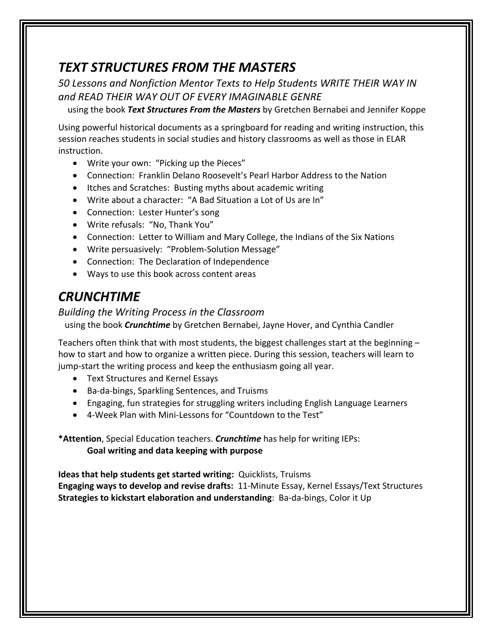# *TEXT STRUCTURES FROM THE MASTERS*

*50 Lessons and Nonfiction Mentor Texts to Help Students WRITE THEIR WAY IN and READ THEIR WAY OUT OF EVERY IMAGINABLE GENRE* 

using the book *Text Structures From the Masters* by Gretchen Bernabei and Jennifer Koppe

Using powerful historical documents as a springboard for reading and writing instruction, this session reaches students in social studies and history classrooms as well as those in ELAR instruction.

- Write your own: "Picking up the Pieces"
- Connection: Franklin Delano Roosevelt's Pearl Harbor Address to the Nation
- Itches and Scratches: Busting myths about academic writing
- Write about a character: "A Bad Situation a Lot of Us are In"
- Connection: Lester Hunter's song
- Write refusals: "No, Thank You"
- Connection: Letter to William and Mary College, the Indians of the Six Nations
- Write persuasively: "Problem-Solution Message"
- Connection: The Declaration of Independence
- Ways to use this book across content areas

# *CRUNCHTIME*

#### *Building the Writing Process in the Classroom*

using the book *Crunchtime* by Gretchen Bernabei, Jayne Hover, and Cynthia Candler

Teachers often think that with most students, the biggest challenges start at the beginning – how to start and how to organize a written piece. During this session, teachers will learn to jump-start the writing process and keep the enthusiasm going all year.

- Text Structures and Kernel Essays
- Ba-da-bings, Sparkling Sentences, and Truisms
- Engaging, fun strategies for struggling writers including English Language Learners
- 4-Week Plan with Mini-Lessons for "Countdown to the Test"

**\*Attention**, Special Education teachers. *Crunchtime* has help for writing IEPs: **Goal writing and data keeping with purpose**

**Ideas that help students get started writing:** Quicklists, Truisms **Engaging ways to develop and revise drafts:** 11-Minute Essay, Kernel Essays/Text Structures **Strategies to kickstart elaboration and understanding**: Ba-da-bings, Color it Up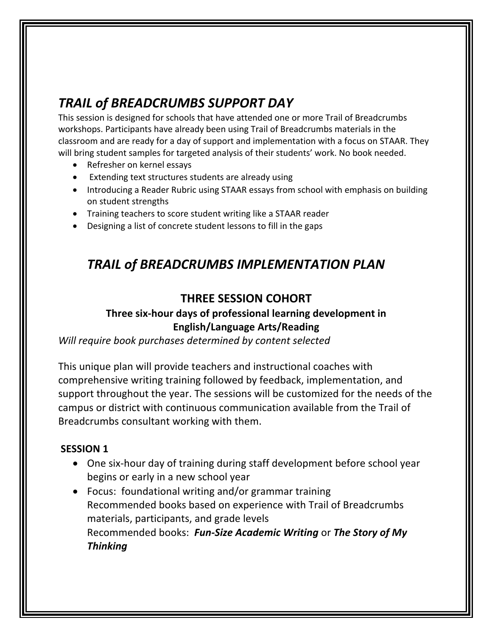# *TRAIL of BREADCRUMBS SUPPORT DAY*

This session is designed for schools that have attended one or more Trail of Breadcrumbs workshops. Participants have already been using Trail of Breadcrumbs materials in the classroom and are ready for a day of support and implementation with a focus on STAAR. They will bring student samples for targeted analysis of their students' work. No book needed.

- Refresher on kernel essays
- Extending text structures students are already using
- Introducing a Reader Rubric using STAAR essays from school with emphasis on building on student strengths
- Training teachers to score student writing like a STAAR reader
- Designing a list of concrete student lessons to fill in the gaps

## *TRAIL of BREADCRUMBS IMPLEMENTATION PLAN*

#### **THREE SESSION COHORT**

#### **Three six-hour days of professional learning development in English/Language Arts/Reading**

*Will require book purchases determined by content selected*

This unique plan will provide teachers and instructional coaches with comprehensive writing training followed by feedback, implementation, and support throughout the year. The sessions will be customized for the needs of the campus or district with continuous communication available from the Trail of Breadcrumbs consultant working with them.

#### **SESSION 1**

- One six-hour day of training during staff development before school year begins or early in a new school year
- Focus: foundational writing and/or grammar training Recommended books based on experience with Trail of Breadcrumbs materials, participants, and grade levels Recommended books: *Fun-Size Academic Writing* or *The Story of My Thinking*